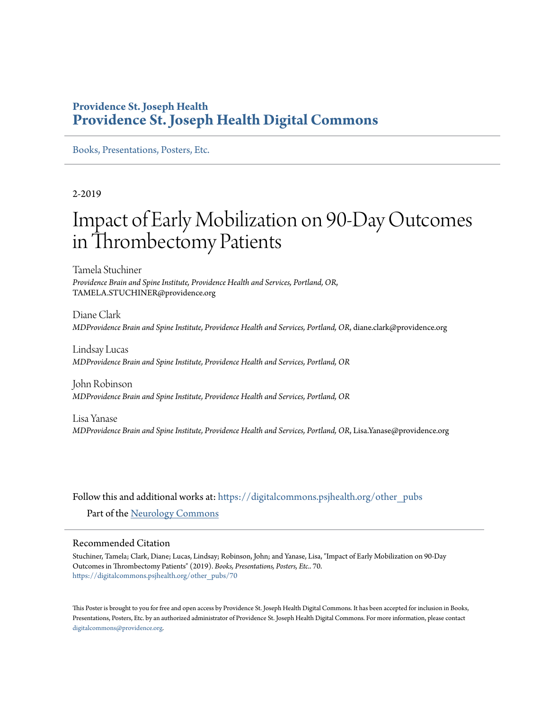#### **Providence St. Joseph Health [Providence St. Joseph Health Digital Commons](https://digitalcommons.psjhealth.org?utm_source=digitalcommons.psjhealth.org%2Fother_pubs%2F70&utm_medium=PDF&utm_campaign=PDFCoverPages)**

[Books, Presentations, Posters, Etc.](https://digitalcommons.psjhealth.org/other_pubs?utm_source=digitalcommons.psjhealth.org%2Fother_pubs%2F70&utm_medium=PDF&utm_campaign=PDFCoverPages)

2-2019

#### Impact of Early Mobilization on 90-Day Outcomes in Thrombectomy Patients

Tamela Stuchiner *Providence Brain and Spine Institute, Providence Health and Services, Portland, OR*, TAMELA.STUCHINER@providence.org

Diane Clark *MDProvidence Brain and Spine Institute, Providence Health and Services, Portland, OR*, diane.clark@providence.org

Lindsay Lucas *MDProvidence Brain and Spine Institute, Providence Health and Services, Portland, OR*

John Robinson *MDProvidence Brain and Spine Institute, Providence Health and Services, Portland, OR*

Lisa Yanase *MDProvidence Brain and Spine Institute, Providence Health and Services, Portland, OR*, Lisa.Yanase@providence.org

Follow this and additional works at: [https://digitalcommons.psjhealth.org/other\\_pubs](https://digitalcommons.psjhealth.org/other_pubs?utm_source=digitalcommons.psjhealth.org%2Fother_pubs%2F70&utm_medium=PDF&utm_campaign=PDFCoverPages)

Part of the [Neurology Commons](http://network.bepress.com/hgg/discipline/692?utm_source=digitalcommons.psjhealth.org%2Fother_pubs%2F70&utm_medium=PDF&utm_campaign=PDFCoverPages)

#### Recommended Citation

Stuchiner, Tamela; Clark, Diane; Lucas, Lindsay; Robinson, John; and Yanase, Lisa, "Impact of Early Mobilization on 90-Day Outcomes in Thrombectomy Patients" (2019). *Books, Presentations, Posters, Etc.*. 70. [https://digitalcommons.psjhealth.org/other\\_pubs/70](https://digitalcommons.psjhealth.org/other_pubs/70?utm_source=digitalcommons.psjhealth.org%2Fother_pubs%2F70&utm_medium=PDF&utm_campaign=PDFCoverPages)

This Poster is brought to you for free and open access by Providence St. Joseph Health Digital Commons. It has been accepted for inclusion in Books, Presentations, Posters, Etc. by an authorized administrator of Providence St. Joseph Health Digital Commons. For more information, please contact [digitalcommons@providence.org](mailto:digitalcommons@providence.org).